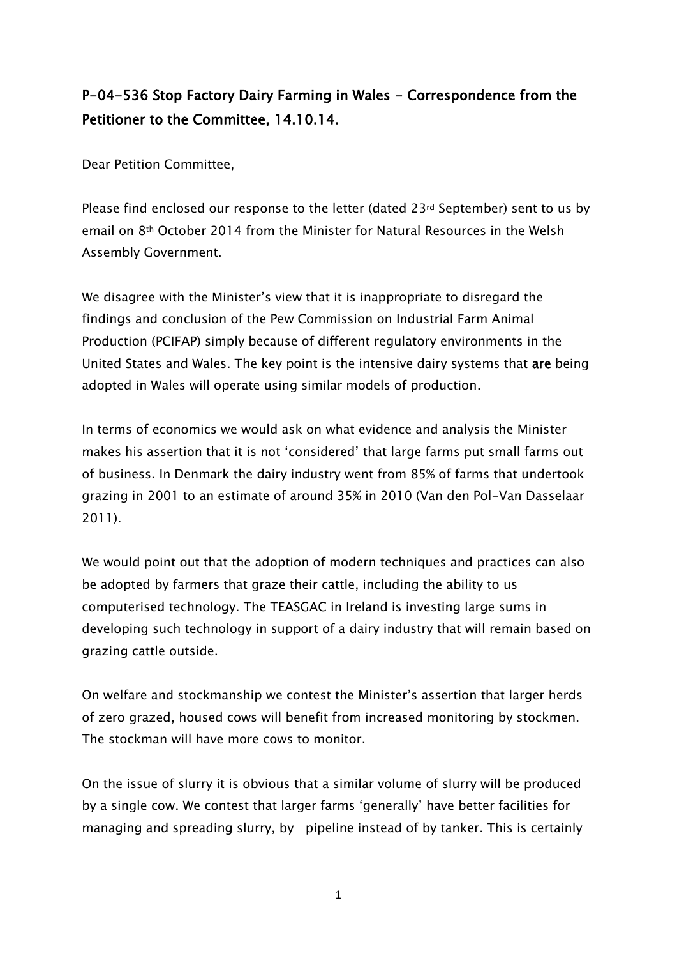## P-04-536 Stop Factory Dairy Farming in Wales - Correspondence from the Petitioner to the Committee, 14.10.14.

Dear Petition Committee,

Please find enclosed our response to the letter (dated 23rd September) sent to us by email on 8th October 2014 from the Minister for Natural Resources in the Welsh Assembly Government.

We disagree with the Minister's view that it is inappropriate to disregard the findings and conclusion of the Pew Commission on Industrial Farm Animal Production (PCIFAP) simply because of different regulatory environments in the United States and Wales. The key point is the intensive dairy systems that are being adopted in Wales will operate using similar models of production.

In terms of economics we would ask on what evidence and analysis the Minister makes his assertion that it is not 'considered' that large farms put small farms out of business. In Denmark the dairy industry went from 85% of farms that undertook grazing in 2001 to an estimate of around 35% in 2010 (Van den Pol-Van Dasselaar 2011).

We would point out that the adoption of modern techniques and practices can also be adopted by farmers that graze their cattle, including the ability to us computerised technology. The TEASGAC in Ireland is investing large sums in developing such technology in support of a dairy industry that will remain based on grazing cattle outside.

On welfare and stockmanship we contest the Minister's assertion that larger herds of zero grazed, housed cows will benefit from increased monitoring by stockmen. The stockman will have more cows to monitor.

On the issue of slurry it is obvious that a similar volume of slurry will be produced by a single cow. We contest that larger farms 'generally' have better facilities for managing and spreading slurry, by pipeline instead of by tanker. This is certainly

1